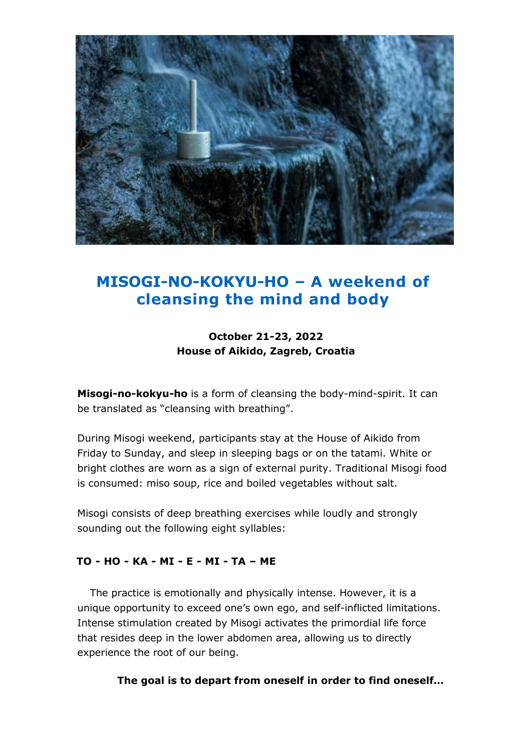

# **MISOGI-NO-KOKYU-HO – A weekend of cleansing the mind and body**

# **October 21-23, 2022 House of Aikido, Zagreb, Croatia**

**Misogi-no-kokyu-ho** is a form of cleansing the body-mind-spirit. It can be translated as "cleansing with breathing".

During Misogi weekend, participants stay at the House of Aikido from Friday to Sunday, and sleep in sleeping bags or on the tatami. White or bright clothes are worn as a sign of external purity. Traditional Misogi food is consumed: miso soup, rice and boiled vegetables without salt.

Misogi consists of deep breathing exercises while loudly and strongly sounding out the following eight syllables:

# **TO - HO - KA - MI - E - MI - TA – ME**

The practice is emotionally and physically intense. However, it is a unique opportunity to exceed one's own ego, and self-inflicted limitations. Intense stimulation created by Misogi activates the primordial life force that resides deep in the lower abdomen area, allowing us to directly experience the root of our being.

**The goal is to depart from oneself in order to find oneself…**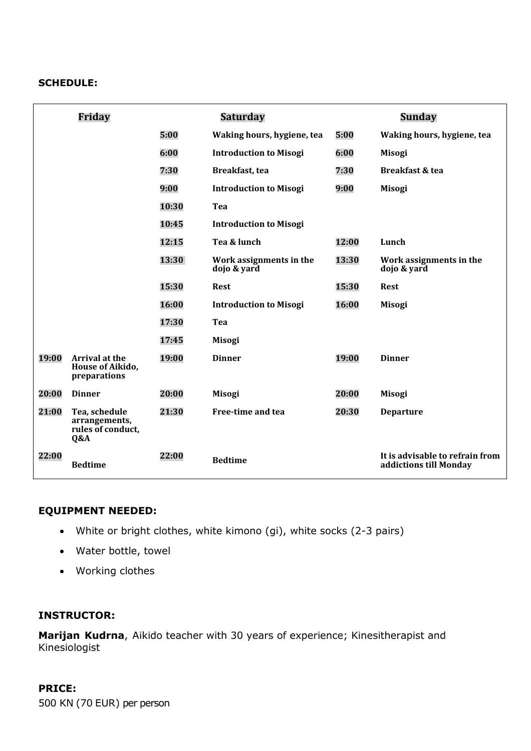#### **SCHEDULE:**

|       | Friday                                                     | Saturday |                                        | Sunday |                                                           |
|-------|------------------------------------------------------------|----------|----------------------------------------|--------|-----------------------------------------------------------|
|       |                                                            | 5:00     | Waking hours, hygiene, tea             | 5:00   | Waking hours, hygiene, tea                                |
|       |                                                            | 6:00     | <b>Introduction to Misogi</b>          | 6:00   | <b>Misogi</b>                                             |
|       |                                                            | 7:30     | Breakfast, tea                         | 7:30   | Breakfast & tea                                           |
|       |                                                            | 9:00     | <b>Introduction to Misogi</b>          | 9:00   | <b>Misogi</b>                                             |
|       |                                                            | 10:30    | Tea                                    |        |                                                           |
|       |                                                            | 10:45    | <b>Introduction to Misogi</b>          |        |                                                           |
|       |                                                            | 12:15    | Tea & lunch                            | 12:00  | Lunch                                                     |
|       |                                                            | 13:30    | Work assignments in the<br>dojo & yard | 13:30  | Work assignments in the<br>dojo & yard                    |
|       |                                                            | 15:30    | <b>Rest</b>                            | 15:30  | <b>Rest</b>                                               |
|       |                                                            | 16:00    | <b>Introduction to Misogi</b>          | 16:00  | <b>Misogi</b>                                             |
|       |                                                            | 17:30    | Tea                                    |        |                                                           |
|       |                                                            | 17:45    | <b>Misogi</b>                          |        |                                                           |
| 19:00 | Arrival at the<br>House of Aikido,<br>preparations         | 19:00    | <b>Dinner</b>                          | 19:00  | <b>Dinner</b>                                             |
| 20:00 | <b>Dinner</b>                                              | 20:00    | <b>Misogi</b>                          | 20:00  | <b>Misogi</b>                                             |
| 21:00 | Tea, schedule<br>arrangements,<br>rules of conduct,<br>Q&A | 21:30    | Free-time and tea                      | 20:30  | <b>Departure</b>                                          |
| 22:00 | <b>Bedtime</b>                                             | 22:00    | <b>Bedtime</b>                         |        | It is advisable to refrain from<br>addictions till Monday |

#### **EQUIPMENT NEEDED:**

- White or bright clothes, white kimono (gi), white socks (2-3 pairs)
- Water bottle, towel
- Working clothes

## **INSTRUCTOR:**

**Marijan Kudrna**, Aikido teacher with 30 years of experience; Kinesitherapist and Kinesiologist

# **PRICE:**

500 KN (70 EUR) per person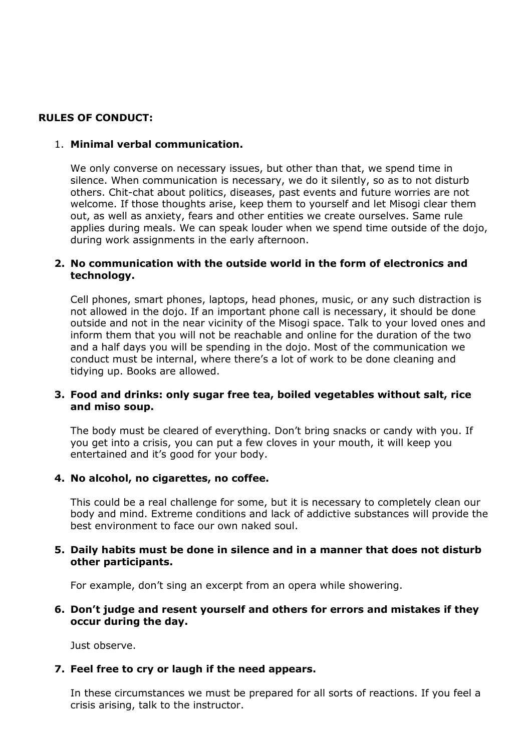## **RULES OF CONDUCT:**

#### 1. **Minimal verbal communication.**

We only converse on necessary issues, but other than that, we spend time in silence. When communication is necessary, we do it silently, so as to not disturb others. Chit-chat about politics, diseases, past events and future worries are not welcome. If those thoughts arise, keep them to yourself and let Misogi clear them out, as well as anxiety, fears and other entities we create ourselves. Same rule applies during meals. We can speak louder when we spend time outside of the dojo, during work assignments in the early afternoon.

#### **2. No communication with the outside world in the form of electronics and technology.**

Cell phones, smart phones, laptops, head phones, music, or any such distraction is not allowed in the dojo. If an important phone call is necessary, it should be done outside and not in the near vicinity of the Misogi space. Talk to your loved ones and inform them that you will not be reachable and online for the duration of the two and a half days you will be spending in the dojo. Most of the communication we conduct must be internal, where there's a lot of work to be done cleaning and tidying up. Books are allowed.

#### **3. Food and drinks: only sugar free tea, boiled vegetables without salt, rice and miso soup.**

The body must be cleared of everything. Don't bring snacks or candy with you. If you get into a crisis, you can put a few cloves in your mouth, it will keep you entertained and it's good for your body.

#### **4. No alcohol, no cigarettes, no coffee.**

This could be a real challenge for some, but it is necessary to completely clean our body and mind. Extreme conditions and lack of addictive substances will provide the best environment to face our own naked soul.

#### **5. Daily habits must be done in silence and in a manner that does not disturb other participants.**

For example, don't sing an excerpt from an opera while showering.

#### **6. Don't judge and resent yourself and others for errors and mistakes if they occur during the day.**

Just observe.

#### **7. Feel free to cry or laugh if the need appears.**

In these circumstances we must be prepared for all sorts of reactions. If you feel a crisis arising, talk to the instructor.